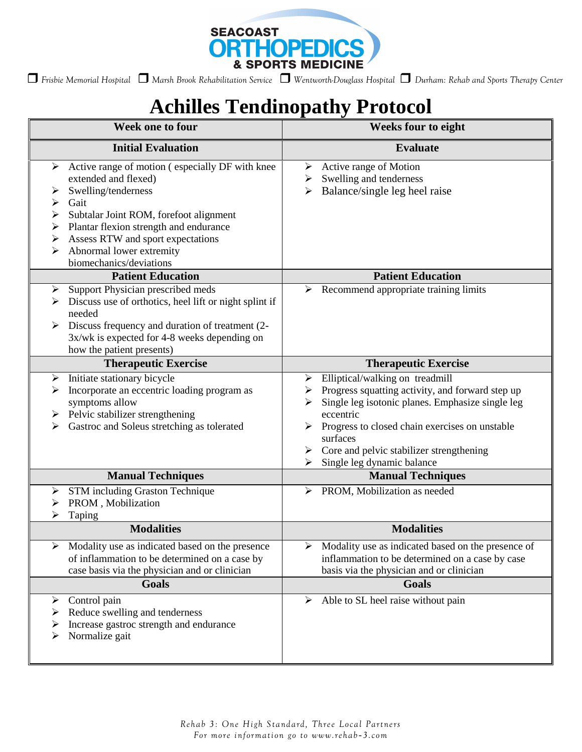

 *Frisbie Memorial Hospital Marsh Brook Rehabilitation Service Wentworth-Douglass Hospital Durham: Rehab and Sports Therapy Center* 

## **Achilles Tendinopathy Protocol**

| Week one to four                                                                                                                                                                                                                                                                                                          | <b>Weeks four to eight</b>                                                                                                                                                                                                                                                                                                               |  |
|---------------------------------------------------------------------------------------------------------------------------------------------------------------------------------------------------------------------------------------------------------------------------------------------------------------------------|------------------------------------------------------------------------------------------------------------------------------------------------------------------------------------------------------------------------------------------------------------------------------------------------------------------------------------------|--|
| <b>Initial Evaluation</b>                                                                                                                                                                                                                                                                                                 | <b>Evaluate</b>                                                                                                                                                                                                                                                                                                                          |  |
| Active range of motion (especially DF with knee<br>➤<br>extended and flexed)<br>Swelling/tenderness<br>➤<br>Gait<br>➤<br>Subtalar Joint ROM, forefoot alignment<br>➤<br>Plantar flexion strength and endurance<br>➤<br>Assess RTW and sport expectations<br>➤<br>Abnormal lower extremity<br>➤<br>biomechanics/deviations | Active range of Motion<br>≻<br>Swelling and tenderness<br>➤<br>Balance/single leg heel raise<br>➤                                                                                                                                                                                                                                        |  |
| <b>Patient Education</b>                                                                                                                                                                                                                                                                                                  | <b>Patient Education</b>                                                                                                                                                                                                                                                                                                                 |  |
| Support Physician prescribed meds<br>➤<br>Discuss use of orthotics, heel lift or night splint if<br>needed<br>Discuss frequency and duration of treatment (2-<br>3x/wk is expected for 4-8 weeks depending on<br>how the patient presents)                                                                                | Recommend appropriate training limits<br>➤                                                                                                                                                                                                                                                                                               |  |
| <b>Therapeutic Exercise</b>                                                                                                                                                                                                                                                                                               | <b>Therapeutic Exercise</b>                                                                                                                                                                                                                                                                                                              |  |
| Initiate stationary bicycle<br>➤<br>Incorporate an eccentric loading program as<br>➤<br>symptoms allow<br>Pelvic stabilizer strengthening<br>➤<br>Gastroc and Soleus stretching as tolerated<br>➤                                                                                                                         | $\triangleright$ Elliptical/walking on treadmill<br>$\triangleright$ Progress squatting activity, and forward step up<br>Single leg isotonic planes. Emphasize single leg<br>≻<br>eccentric<br>Progress to closed chain exercises on unstable<br>surfaces<br>Core and pelvic stabilizer strengthening<br>Single leg dynamic balance<br>➤ |  |
| <b>Manual Techniques</b>                                                                                                                                                                                                                                                                                                  | <b>Manual Techniques</b>                                                                                                                                                                                                                                                                                                                 |  |
| STM including Graston Technique<br>➤<br>PROM, Mobilization<br>➤<br>⋗<br>Taping                                                                                                                                                                                                                                            | $\triangleright$ PROM, Mobilization as needed                                                                                                                                                                                                                                                                                            |  |
| <b>Modalities</b>                                                                                                                                                                                                                                                                                                         | <b>Modalities</b>                                                                                                                                                                                                                                                                                                                        |  |
| Modality use as indicated based on the presence<br>of inflammation to be determined on a case by<br>case basis via the physician and or clinician                                                                                                                                                                         | Modality use as indicated based on the presence of<br>inflammation to be determined on a case by case<br>basis via the physician and or clinician                                                                                                                                                                                        |  |
| <b>Goals</b>                                                                                                                                                                                                                                                                                                              | Goals                                                                                                                                                                                                                                                                                                                                    |  |
| Control pain<br>≻<br>Reduce swelling and tenderness<br>➤<br>Increase gastroc strength and endurance<br>➤<br>Normalize gait<br>➤                                                                                                                                                                                           | Able to SL heel raise without pain<br>≻                                                                                                                                                                                                                                                                                                  |  |